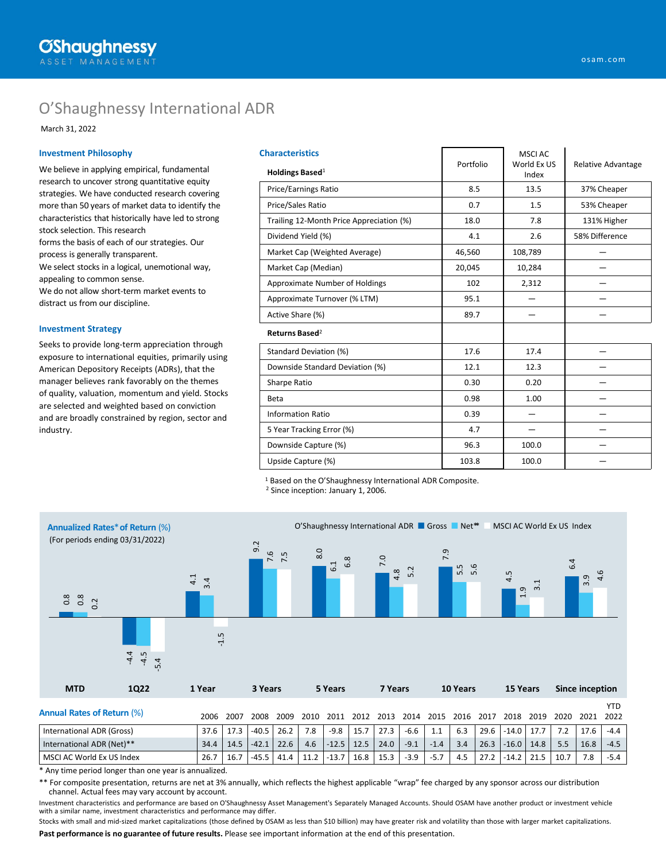# O'Shaughnessy International ADR

March 31, 2022

### **Investment Philosophy**

We believe in applying empirical, fundamental research to uncover strong quantitative equity strategies. We have conducted research covering more than 50 years of market data to identify the characteristics that historically have led to strong stock selection. This research forms the basis of each of our strategies. Our process is generally transparent. We select stocks in a logical, unemotional way, appealing to common sense. We do not allow short-term market events to distract us from our discipline.

#### **Investment Strategy**

Seeks to provide long-term appreciation through exposure to international equities, primarily using American Depository Receipts (ADRs), that the manager believes rank favorably on the themes of quality, valuation, momentum and yield. Stocks are selected and weighted based on conviction and are broadly constrained by region, sector and industry.

| <b>Characteristics</b>                   | Portfolio | MSCI AC<br>World Ex US | Relative Advantage |  |  |
|------------------------------------------|-----------|------------------------|--------------------|--|--|
| Holdings Based <sup>1</sup>              |           | Index                  |                    |  |  |
| <b>Price/Earnings Ratio</b>              | 8.5       | 13.5                   | 37% Cheaper        |  |  |
| Price/Sales Ratio                        | 0.7       | 1.5                    | 53% Cheaper        |  |  |
| Trailing 12-Month Price Appreciation (%) | 18.0      | 7.8                    | 131% Higher        |  |  |
| Dividend Yield (%)                       | 4.1       | 2.6                    | 58% Difference     |  |  |
| Market Cap (Weighted Average)            | 46,560    | 108,789                |                    |  |  |
| Market Cap (Median)                      | 20,045    | 10,284                 |                    |  |  |
| Approximate Number of Holdings           | 102       | 2,312                  |                    |  |  |
| Approximate Turnover (% LTM)             | 95.1      |                        |                    |  |  |
| Active Share (%)                         | 89.7      |                        |                    |  |  |
| Returns Based <sup>2</sup>               |           |                        |                    |  |  |
| Standard Deviation (%)                   | 17.6      | 17.4                   |                    |  |  |
| Downside Standard Deviation (%)          | 12.1      | 12.3                   |                    |  |  |
| Sharpe Ratio                             | 0.30      | 0.20                   |                    |  |  |
| Beta                                     | 0.98      | 1.00                   |                    |  |  |
| <b>Information Ratio</b>                 | 0.39      |                        |                    |  |  |
| 5 Year Tracking Error (%)                | 4.7       |                        |                    |  |  |
| Downside Capture (%)                     | 96.3      | 100.0                  |                    |  |  |
| Upside Capture (%)                       | 103.8     | 100.0                  |                    |  |  |
|                                          |           |                        |                    |  |  |

<sup>1</sup> Based on the O'Shaughnessy International ADR Composite.

<sup>2</sup> Since inception: January 1, 2006.



\* Any time period longer than one year is annualized.

\*\* For composite presentation, returns are net at 3% annually, which reflects the highest applicable "wrap" fee charged by any sponsor across our distribution channel. Actual fees may vary account by account.

Investment characteristics and performance are based on O'Shaughnessy Asset Management's Separately Managed Accounts. Should OSAM have another product or investment vehicle with a similar name, investment characteristics and performance may differ.

**Past performance is no guarantee of future results.** Please see important information at the end of this presentation. Stocks with small and mid-sized market capitalizations (those defined by OSAM as less than \$10 billion) may have greater risk and volatility than those with larger market capitalizations.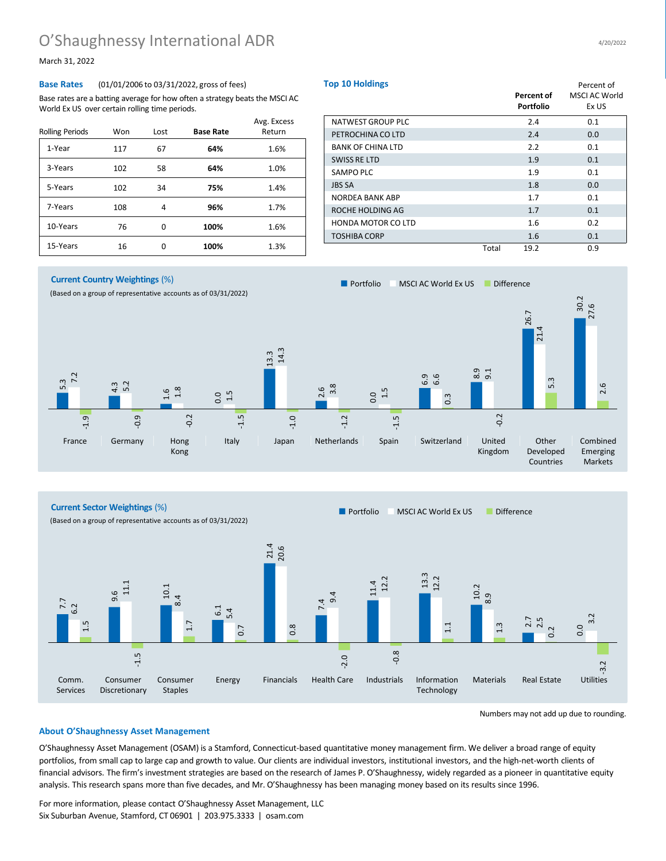# O'Shaughnessy International ADR 4/20/2022

March 31, 2022

## **Base Rates** (01/01/2006 to 03/31/2022, gross of fees)

Base rates are a batting average for how often a strategy beats the MSCI AC World Ex US over certain rolling time periods.

| <b>Rolling Periods</b> | Won | Lost | <b>Base Rate</b> | Avg. Excess<br>Return |
|------------------------|-----|------|------------------|-----------------------|
| 1-Year                 | 117 | 67   | 64%              | 1.6%                  |
| 3-Years                | 102 | 58   | 64%              | 1.0%                  |
| 5-Years                | 102 | 34   | 75%              | 1.4%                  |
| 7-Years                | 108 | 4    | 96%              | 1.7%                  |
| 10-Years               | 76  | O    | 100%             | 1.6%                  |
| 15-Years               | 16  | o    | 100%             | 1.3%                  |

| <b>Top 10 Holdings</b>    |       | Percent of       | Percent of<br><b>MSCI AC World</b> |  |  |
|---------------------------|-------|------------------|------------------------------------|--|--|
|                           |       | <b>Portfolio</b> | Ex US                              |  |  |
| NATWEST GROUP PLC         |       | 2.4              | 0.1                                |  |  |
| PETROCHINA CO LTD         |       | 2.4              | 0.0                                |  |  |
| <b>BANK OF CHINA LTD</b>  |       | 2.2              | 0.1                                |  |  |
| <b>SWISS RE LTD</b>       |       | 1.9              | 0.1                                |  |  |
| SAMPO PLC                 |       | 1.9              | 0.1                                |  |  |
| <b>JBS SA</b>             |       | 1.8              | 0.0                                |  |  |
| NORDEA BANK ABP           |       | 1.7              | 0.1                                |  |  |
| ROCHE HOLDING AG          |       | 1.7              | 0.1                                |  |  |
| <b>HONDA MOTOR CO LTD</b> |       | 1.6              | 0.2                                |  |  |
| <b>TOSHIBA CORP</b>       |       | 1.6              | 0.1                                |  |  |
|                           | Total | 19.2             | 0.9                                |  |  |

**Current Country Weightings** (%)

(Based on a group of representative accounts as of 03/31/2022)



**Current Sector Weightings** (%)

(Based on a group of representative accounts as of 03/31/2022)

■ Portfolio ■ MSCI AC World Ex US ■ Difference

■ Portfolio ■ MSCI AC World Ex US ■ Difference



Numbers may not add up due to rounding.

### **About O'Shaughnessy Asset Management**

O'Shaughnessy Asset Management (OSAM) is a Stamford, Connecticut-based quantitative money management firm. We deliver a broad range of equity portfolios, from small cap to large cap and growth to value. Our clients are individual investors, institutional investors, and the high-net-worth clients of financial advisors. The firm's investment strategies are based on the research of James P. O'Shaughnessy, widely regarded as a pioneer in quantitative equity analysis. This research spans more than five decades, and Mr. O'Shaughnessy has been managing money based on its results since 1996.

For more information, please contact O'Shaughnessy Asset Management, LLC